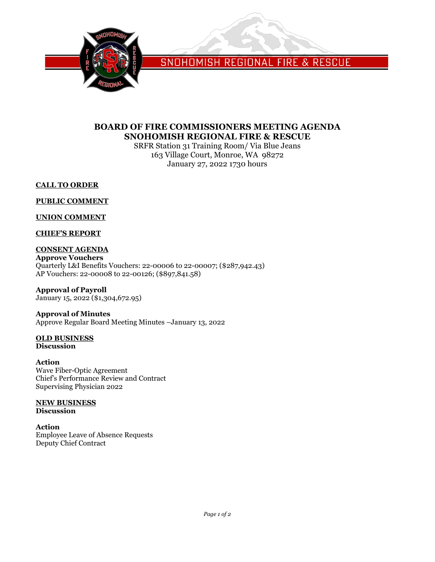

SNOHOMISH REGIONAL FIRE & RESCUE

# **BOARD OF FIRE COMMISSIONERS MEETING AGENDA SNOHOMISH REGIONAL FIRE & RESCUE**

SRFR Station 31 Training Room/ Via Blue Jeans 163 Village Court, Monroe, WA 98272 January 27, 2022 1730 hours

**CALL TO ORDER**

**PUBLIC COMMENT**

**UNION COMMENT**

**CHIEF'S REPORT**

**CONSENT AGENDA Approve Vouchers** Quarterly L&I Benefits Vouchers: 22-00006 to 22-00007; (\$287,942.43) AP Vouchers: 22-00008 to 22-00126; (\$897,841.58)

**Approval of Payroll** January 15, 2022 (\$1,304,672.95)

**Approval of Minutes** Approve Regular Board Meeting Minutes –January 13, 2022

**OLD BUSINESS Discussion**

**Action** Wave Fiber-Optic Agreement Chief's Performance Review and Contract Supervising Physician 2022

**NEW BUSINESS Discussion**

**Action** Employee Leave of Absence Requests Deputy Chief Contract